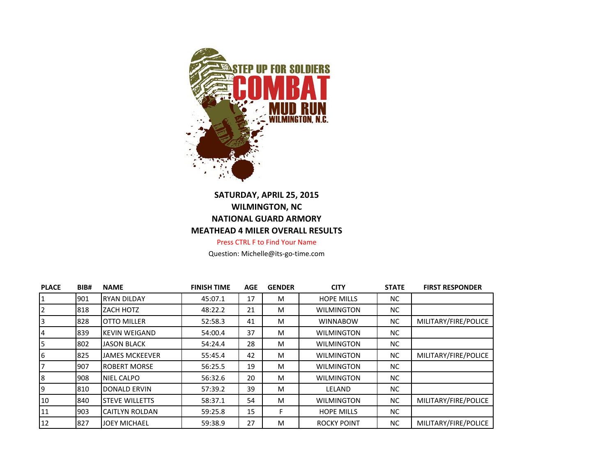

## **SATURDAY, APRIL 25, 2015 WILMINGTON, NC NATIONAL GUARD ARMORY MEATHEAD 4 MILER OVERALL RESULTS**

Press CTRL F to Find Your Name

Question: Michelle@its-go-time.com

| <b>PLACE</b> | BIB# | <b>NAME</b>           | <b>FINISH TIME</b> | <b>AGE</b> | <b>GENDER</b> | <b>CITY</b>        | <b>STATE</b> | <b>FIRST RESPONDER</b> |
|--------------|------|-----------------------|--------------------|------------|---------------|--------------------|--------------|------------------------|
|              | 1901 | <b>RYAN DILDAY</b>    | 45:07.1            | 17         | M             | <b>HOPE MILLS</b>  | NC.          |                        |
|              | 818  | ZACH HOTZ             | 48:22.2            | 21         | M             | <b>WILMINGTON</b>  | NC.          |                        |
|              | 828  | <b>OTTO MILLER</b>    | 52:58.3            | 41         | M             | <b>WINNABOW</b>    | NC.          | MILITARY/FIRE/POLICE   |
| 4            | 1839 | <b>KEVIN WEIGAND</b>  | 54:00.4            | 37         | M             | <b>WILMINGTON</b>  | NC.          |                        |
| 5            | 802  | <b>JASON BLACK</b>    | 54:24.4            | 28         | M             | <b>WILMINGTON</b>  | NC.          |                        |
| 6            | 825  | <b>JAMES MCKEEVER</b> | 55:45.4            | 42         | M             | <b>WILMINGTON</b>  | NC.          | MILITARY/FIRE/POLICE   |
|              | 1907 | <b>ROBERT MORSE</b>   | 56:25.5            | 19         | M             | <b>WILMINGTON</b>  | NC.          |                        |
| 8            | 1908 | NIEL CALPO            | 56:32.6            | 20         | M             | <b>WILMINGTON</b>  | NC.          |                        |
| 9            | 810  | DONALD ERVIN          | 57:39.2            | 39         | M             | LELAND             | NC.          |                        |
| 10           | 1840 | <b>STEVE WILLETTS</b> | 58:37.1            | 54         | M             | <b>WILMINGTON</b>  | NC.          | MILITARY/FIRE/POLICE   |
| 11           | 1903 | ICAITLYN ROLDAN       | 59:25.8            | 15         | F             | <b>HOPE MILLS</b>  | NC.          |                        |
| 12           | 1827 | <b>JOEY MICHAEL</b>   | 59:38.9            | 27         | M             | <b>ROCKY POINT</b> | NC.          | MILITARY/FIRE/POLICE   |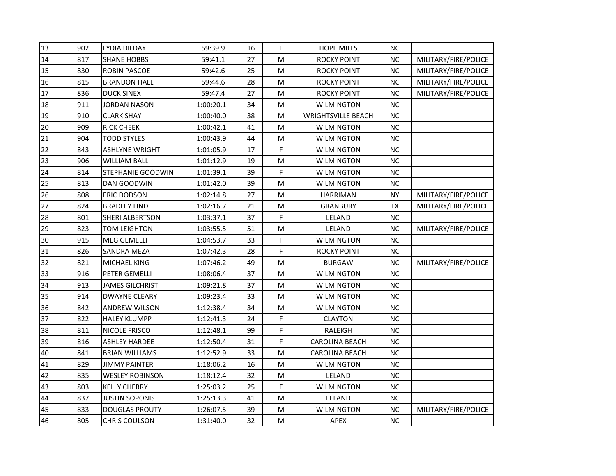| 13 | 902 | <b>LYDIA DILDAY</b>      | 59:39.9   | 16 | F | <b>HOPE MILLS</b>         | <b>NC</b> |                      |  |
|----|-----|--------------------------|-----------|----|---|---------------------------|-----------|----------------------|--|
| 14 | 817 | <b>SHANE HOBBS</b>       | 59:41.1   | 27 | M | <b>ROCKY POINT</b>        | <b>NC</b> | MILITARY/FIRE/POLICE |  |
| 15 | 830 | ROBIN PASCOE             | 59:42.6   | 25 | M | <b>ROCKY POINT</b>        | <b>NC</b> | MILITARY/FIRE/POLICE |  |
| 16 | 815 | <b>BRANDON HALL</b>      | 59:44.6   | 28 | M | <b>ROCKY POINT</b>        | <b>NC</b> | MILITARY/FIRE/POLICE |  |
| 17 | 836 | <b>DUCK SINEX</b>        | 59:47.4   | 27 | M | <b>ROCKY POINT</b>        | <b>NC</b> | MILITARY/FIRE/POLICE |  |
| 18 | 911 | <b>JORDAN NASON</b>      | 1:00:20.1 | 34 | M | <b>WILMINGTON</b>         | <b>NC</b> |                      |  |
| 19 | 910 | <b>CLARK SHAY</b>        | 1:00:40.0 | 38 | M | <b>WRIGHTSVILLE BEACH</b> | <b>NC</b> |                      |  |
| 20 | 909 | <b>RICK CHEEK</b>        | 1:00:42.1 | 41 | М | <b>WILMINGTON</b>         | <b>NC</b> |                      |  |
| 21 | 904 | <b>TODD STYLES</b>       | 1:00:43.9 | 44 | M | <b>WILMINGTON</b>         | <b>NC</b> |                      |  |
| 22 | 843 | <b>ASHLYNE WRIGHT</b>    | 1:01:05.9 | 17 | F | <b>WILMINGTON</b>         | <b>NC</b> |                      |  |
| 23 | 906 | <b>WILLIAM BALL</b>      | 1:01:12.9 | 19 | M | <b>WILMINGTON</b>         | <b>NC</b> |                      |  |
| 24 | 814 | <b>STEPHANIE GOODWIN</b> | 1:01:39.1 | 39 | F | <b>WILMINGTON</b>         | <b>NC</b> |                      |  |
| 25 | 813 | DAN GOODWIN              | 1:01:42.0 | 39 | M | <b>WILMINGTON</b>         | <b>NC</b> |                      |  |
| 26 | 808 | <b>ERIC DODSON</b>       | 1:02:14.8 | 27 | M | <b>HARRIMAN</b>           | <b>NY</b> | MILITARY/FIRE/POLICE |  |
| 27 | 824 | <b>BRADLEY LIND</b>      | 1:02:16.7 | 21 | M | <b>GRANBURY</b>           | TX        | MILITARY/FIRE/POLICE |  |
| 28 | 801 | <b>SHERI ALBERTSON</b>   | 1:03:37.1 | 37 | F | LELAND                    | <b>NC</b> |                      |  |
| 29 | 823 | <b>TOM LEIGHTON</b>      | 1:03:55.5 | 51 | M | LELAND                    | <b>NC</b> | MILITARY/FIRE/POLICE |  |
| 30 | 915 | <b>MEG GEMELLI</b>       | 1:04:53.7 | 33 | F | <b>WILMINGTON</b>         | <b>NC</b> |                      |  |
| 31 | 826 | <b>SANDRA MEZA</b>       | 1:07:42.3 | 28 | F | <b>ROCKY POINT</b>        | <b>NC</b> |                      |  |
| 32 | 821 | MICHAEL KING             | 1:07:46.2 | 49 | M | <b>BURGAW</b>             | <b>NC</b> | MILITARY/FIRE/POLICE |  |
| 33 | 916 | PETER GEMELLI            | 1:08:06.4 | 37 | M | <b>WILMINGTON</b>         | <b>NC</b> |                      |  |
| 34 | 913 | <b>JAMES GILCHRIST</b>   | 1:09:21.8 | 37 | M | <b>WILMINGTON</b>         | <b>NC</b> |                      |  |
| 35 | 914 | <b>DWAYNE CLEARY</b>     | 1:09:23.4 | 33 | M | <b>WILMINGTON</b>         | <b>NC</b> |                      |  |
| 36 | 842 | <b>ANDREW WILSON</b>     | 1:12:38.4 | 34 | M | <b>WILMINGTON</b>         | <b>NC</b> |                      |  |
| 37 | 822 | <b>HALEY KLUMPP</b>      | 1:12:41.3 | 24 | F | <b>CLAYTON</b>            | <b>NC</b> |                      |  |
| 38 | 811 | NICOLE FRISCO            | 1:12:48.1 | 99 | F | RALEIGH                   | <b>NC</b> |                      |  |
| 39 | 816 | ASHLEY HARDEE            | 1:12:50.4 | 31 | F | <b>CAROLINA BEACH</b>     | <b>NC</b> |                      |  |
| 40 | 841 | <b>BRIAN WILLIAMS</b>    | 1:12:52.9 | 33 | M | <b>CAROLINA BEACH</b>     | <b>NC</b> |                      |  |
| 41 | 829 | <b>JIMMY PAINTER</b>     | 1:18:06.2 | 16 | M | <b>WILMINGTON</b>         | <b>NC</b> |                      |  |
| 42 | 835 | <b>WESLEY ROBINSON</b>   | 1:18:12.4 | 32 | M | LELAND                    | <b>NC</b> |                      |  |
| 43 | 803 | <b>KELLY CHERRY</b>      | 1:25:03.2 | 25 | F | <b>WILMINGTON</b>         | <b>NC</b> |                      |  |
| 44 | 837 | JUSTIN SOPONIS           | 1:25:13.3 | 41 | М | LELAND                    | <b>NC</b> |                      |  |
| 45 | 833 | <b>DOUGLAS PROUTY</b>    | 1:26:07.5 | 39 | M | <b>WILMINGTON</b>         | <b>NC</b> | MILITARY/FIRE/POLICE |  |
| 46 | 805 | <b>CHRIS COULSON</b>     | 1:31:40.0 | 32 | M | APEX                      | NC        |                      |  |
|    |     |                          |           |    |   |                           |           |                      |  |